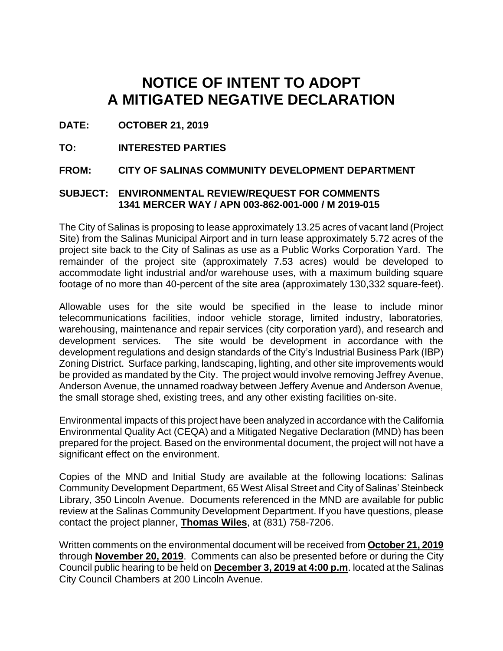# **NOTICE OF INTENT TO ADOPT A MITIGATED NEGATIVE DECLARATION**

**DATE: OCTOBER 21, 2019**

**TO: INTERESTED PARTIES**

**FROM: CITY OF SALINAS COMMUNITY DEVELOPMENT DEPARTMENT** 

### **SUBJECT: ENVIRONMENTAL REVIEW/REQUEST FOR COMMENTS 1341 MERCER WAY / APN 003-862-001-000 / M 2019-015**

The City of Salinas is proposing to lease approximately 13.25 acres of vacant land (Project Site) from the Salinas Municipal Airport and in turn lease approximately 5.72 acres of the project site back to the City of Salinas as use as a Public Works Corporation Yard. The remainder of the project site (approximately 7.53 acres) would be developed to accommodate light industrial and/or warehouse uses, with a maximum building square footage of no more than 40-percent of the site area (approximately 130,332 square-feet).

Allowable uses for the site would be specified in the lease to include minor telecommunications facilities, indoor vehicle storage, limited industry, laboratories, warehousing, maintenance and repair services (city corporation yard), and research and development services. The site would be development in accordance with the development regulations and design standards of the City's Industrial Business Park (IBP) Zoning District. Surface parking, landscaping, lighting, and other site improvements would be provided as mandated by the City. The project would involve removing Jeffrey Avenue, Anderson Avenue, the unnamed roadway between Jeffery Avenue and Anderson Avenue, the small storage shed, existing trees, and any other existing facilities on-site.

Environmental impacts of this project have been analyzed in accordance with the California Environmental Quality Act (CEQA) and a Mitigated Negative Declaration (MND) has been prepared for the project. Based on the environmental document, the project will not have a significant effect on the environment.

Copies of the MND and Initial Study are available at the following locations: Salinas Community Development Department, 65 West Alisal Street and City of Salinas' Steinbeck Library, 350 Lincoln Avenue. Documents referenced in the MND are available for public review at the Salinas Community Development Department. If you have questions, please contact the project planner, **Thomas Wiles**, at (831) 758-7206.

Written comments on the environmental document will be received from **October 21, 2019** through **November 20, 2019**. Comments can also be presented before or during the City Council public hearing to be held on **December 3, 2019 at 4:00 p.m**. located at the Salinas City Council Chambers at 200 Lincoln Avenue.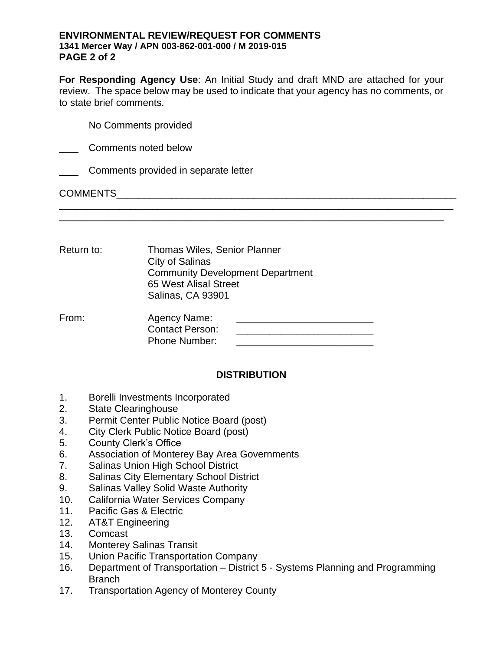#### **ENVIRONMENTAL REVIEW/REQUEST FOR COMMENTS 1341 Mercer Way / APN 003-862-001-000 / M 2019-015 PAGE 2 of 2**

**For Responding Agency Use**: An Initial Study and draft MND are attached for your review. The space below may be used to indicate that your agency has no comments, or to state brief comments.

\_\_\_\_\_\_\_\_\_\_\_\_\_\_\_\_\_\_\_\_\_\_\_\_\_\_\_\_\_\_\_\_\_\_\_\_\_\_\_\_\_\_\_\_\_\_\_\_\_\_\_\_\_\_\_\_\_\_\_\_\_\_\_\_\_\_\_\_\_\_\_

| <b>COMMENTS</b> |                                      |
|-----------------|--------------------------------------|
|                 | Comments provided in separate letter |
|                 | Comments noted below                 |
|                 | No Comments provided                 |

Return to: Thomas Wiles, Senior Planner City of Salinas Community Development Department 65 West Alisal Street Salinas, CA 93901

From: Agency Name: \_\_\_\_\_\_\_\_\_\_\_\_\_\_\_\_\_\_\_\_\_\_\_\_\_ Contact Person: Phone Number:  $\blacksquare$ 

## **DISTRIBUTION**

- 1. Borelli Investments Incorporated
- 2. State Clearinghouse
- 3. Permit Center Public Notice Board (post)
- 4. City Clerk Public Notice Board (post)
- 5. County Clerk's Office
- 6. Association of Monterey Bay Area Governments
- 7. Salinas Union High School District
- 8. Salinas City Elementary School District
- 9. Salinas Valley Solid Waste Authority
- 10. California Water Services Company
- 11. Pacific Gas & Electric
- 12. AT&T Engineering
- 13. Comcast
- 14. Monterey Salinas Transit
- 15. Union Pacific Transportation Company
- 16. Department of Transportation District 5 Systems Planning and Programming Branch
- 17. Transportation Agency of Monterey County